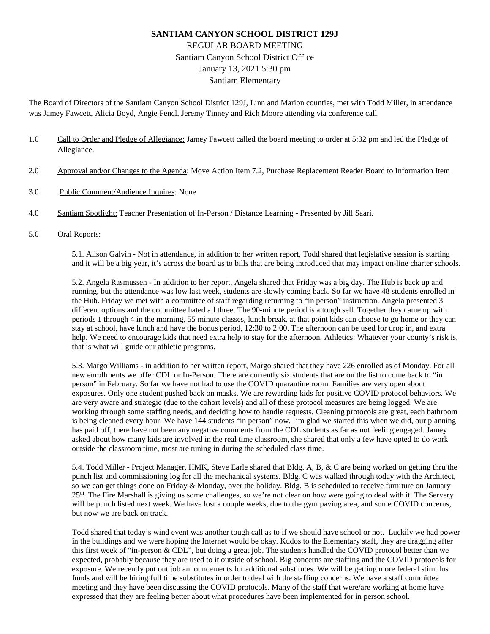# **SANTIAM CANYON SCHOOL DISTRICT 129J** REGULAR BOARD MEETING Santiam Canyon School District Office January 13, 2021 5:30 pm Santiam Elementary

The Board of Directors of the Santiam Canyon School District 129J, Linn and Marion counties, met with Todd Miller, in attendance was Jamey Fawcett, Alicia Boyd, Angie Fencl, Jeremy Tinney and Rich Moore attending via conference call.

- 1.0 Call to Order and Pledge of Allegiance: Jamey Fawcett called the board meeting to order at 5:32 pm and led the Pledge of Allegiance.
- 2.0 Approval and/or Changes to the Agenda: Move Action Item 7.2, Purchase Replacement Reader Board to Information Item
- 3.0 Public Comment/Audience Inquires: None
- 4.0 Santiam Spotlight: Teacher Presentation of In-Person / Distance Learning Presented by Jill Saari.
- 5.0 Oral Reports:

5.1. Alison Galvin - Not in attendance, in addition to her written report, Todd shared that legislative session is starting and it will be a big year, it's across the board as to bills that are being introduced that may impact on-line charter schools.

5.2. Angela Rasmussen - In addition to her report, Angela shared that Friday was a big day. The Hub is back up and running, but the attendance was low last week, students are slowly coming back. So far we have 48 students enrolled in the Hub. Friday we met with a committee of staff regarding returning to "in person" instruction. Angela presented 3 different options and the committee hated all three. The 90-minute period is a tough sell. Together they came up with periods 1 through 4 in the morning, 55 minute classes, lunch break, at that point kids can choose to go home or they can stay at school, have lunch and have the bonus period, 12:30 to 2:00. The afternoon can be used for drop in, and extra help. We need to encourage kids that need extra help to stay for the afternoon. Athletics: Whatever your county's risk is, that is what will guide our athletic programs.

5.3. Margo Williams - in addition to her written report, Margo shared that they have 226 enrolled as of Monday. For all new enrollments we offer CDL or In-Person. There are currently six students that are on the list to come back to "in person" in February. So far we have not had to use the COVID quarantine room. Families are very open about exposures. Only one student pushed back on masks. We are rewarding kids for positive COVID protocol behaviors. We are very aware and strategic (due to the cohort levels) and all of these protocol measures are being logged. We are working through some staffing needs, and deciding how to handle requests. Cleaning protocols are great, each bathroom is being cleaned every hour. We have 144 students "in person" now. I'm glad we started this when we did, our planning has paid off, there have not been any negative comments from the CDL students as far as not feeling engaged. Jamey asked about how many kids are involved in the real time classroom, she shared that only a few have opted to do work outside the classroom time, most are tuning in during the scheduled class time.

5.4. Todd Miller - Project Manager, HMK, Steve Earle shared that Bldg. A, B, & C are being worked on getting thru the punch list and commissioning log for all the mechanical systems. Bldg. C was walked through today with the Architect, so we can get things done on Friday & Monday, over the holiday. Bldg. B is scheduled to receive furniture on January 25<sup>th</sup>. The Fire Marshall is giving us some challenges, so we're not clear on how were going to deal with it. The Servery will be punch listed next week. We have lost a couple weeks, due to the gym paving area, and some COVID concerns, but now we are back on track.

Todd shared that today's wind event was another tough call as to if we should have school or not. Luckily we had power in the buildings and we were hoping the Internet would be okay. Kudos to the Elementary staff, they are dragging after this first week of "in-person & CDL", but doing a great job. The students handled the COVID protocol better than we expected, probably because they are used to it outside of school. Big concerns are staffing and the COVID protocols for exposure. We recently put out job announcements for additional substitutes. We will be getting more federal stimulus funds and will be hiring full time substitutes in order to deal with the staffing concerns. We have a staff committee meeting and they have been discussing the COVID protocols. Many of the staff that were/are working at home have expressed that they are feeling better about what procedures have been implemented for in person school.